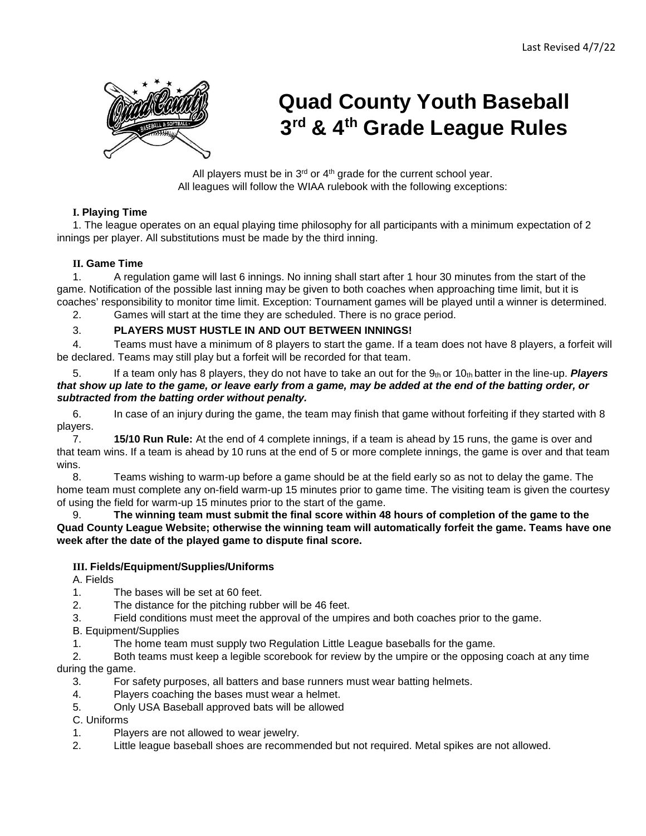

# **Quad County Youth Baseball 3rd & 4th Grade League Rules**

All players must be in  $3<sup>rd</sup>$  or  $4<sup>th</sup>$  grade for the current school year. All leagues will follow the WIAA rulebook with the following exceptions:

# **I. Playing Time**

1. The league operates on an equal playing time philosophy for all participants with a minimum expectation of 2 innings per player. All substitutions must be made by the third inning.

## **II. Game Time**

1. A regulation game will last 6 innings. No inning shall start after 1 hour 30 minutes from the start of the game. Notification of the possible last inning may be given to both coaches when approaching time limit, but it is coaches' responsibility to monitor time limit. Exception: Tournament games will be played until a winner is determined.

2. Games will start at the time they are scheduled. There is no grace period.

## 3. **PLAYERS MUST HUSTLE IN AND OUT BETWEEN INNINGS!**

4. Teams must have a minimum of 8 players to start the game. If a team does not have 8 players, a forfeit will be declared. Teams may still play but a forfeit will be recorded for that team.

5. If a team only has 8 players, they do not have to take an out for the 9th or 10th batter in the line-up. *Players that show up late to the game, or leave early from a game, may be added at the end of the batting order, or subtracted from the batting order without penalty.* 

6. In case of an injury during the game, the team may finish that game without forfeiting if they started with 8 players.<br>7

7. **15/10 Run Rule:** At the end of 4 complete innings, if a team is ahead by 15 runs, the game is over and that team wins. If a team is ahead by 10 runs at the end of 5 or more complete innings, the game is over and that team wins.

8. Teams wishing to warm-up before a game should be at the field early so as not to delay the game. The home team must complete any on-field warm-up 15 minutes prior to game time. The visiting team is given the courtesy of using the field for warm-up 15 minutes prior to the start of the game.

#### 9. **The winning team must submit the final score within 48 hours of completion of the game to the Quad County League Website; otherwise the winning team will automatically forfeit the game. Teams have one week after the date of the played game to dispute final score.**

## **III. Fields/Equipment/Supplies/Uniforms**

A. Fields

1. The bases will be set at 60 feet.

2. The distance for the pitching rubber will be 46 feet.

3. Field conditions must meet the approval of the umpires and both coaches prior to the game.

B. Equipment/Supplies

1. The home team must supply two Regulation Little League baseballs for the game.

2. Both teams must keep a legible scorebook for review by the umpire or the opposing coach at any time during the game.

3. For safety purposes, all batters and base runners must wear batting helmets.

4. Players coaching the bases must wear a helmet.

5. Only USA Baseball approved bats will be allowed

C. Uniforms

1. Players are not allowed to wear jewelry.

2. Little league baseball shoes are recommended but not required. Metal spikes are not allowed.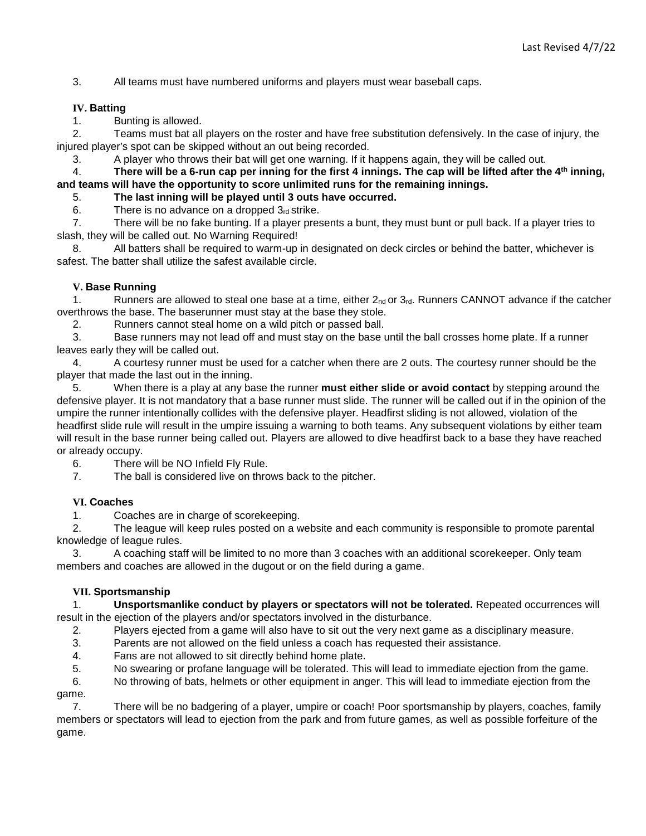3. All teams must have numbered uniforms and players must wear baseball caps.

#### **IV. Batting**

1. Bunting is allowed.

2. Teams must bat all players on the roster and have free substitution defensively. In the case of injury, the injured player's spot can be skipped without an out being recorded.

3. A player who throws their bat will get one warning. If it happens again, they will be called out.

4. **There will be a 6-run cap per inning for the first 4 innings. The cap will be lifted after the 4th inning, and teams will have the opportunity to score unlimited runs for the remaining innings.** 

5. **The last inning will be played until 3 outs have occurred.** 

6. There is no advance on a dropped  $3<sub>rd</sub>$  strike.

7. There will be no fake bunting. If a player presents a bunt, they must bunt or pull back. If a player tries to slash, they will be called out. No Warning Required!

8. All batters shall be required to warm-up in designated on deck circles or behind the batter, whichever is safest. The batter shall utilize the safest available circle.

#### **V. Base Running**

1. Runners are allowed to steal one base at a time, either  $2_{nd}$  or  $3_{rd}$ . Runners CANNOT advance if the catcher overthrows the base. The baserunner must stay at the base they stole.

2. Runners cannot steal home on a wild pitch or passed ball.

3. Base runners may not lead off and must stay on the base until the ball crosses home plate. If a runner leaves early they will be called out.

4. A courtesy runner must be used for a catcher when there are 2 outs. The courtesy runner should be the player that made the last out in the inning.

5. When there is a play at any base the runner **must either slide or avoid contact** by stepping around the defensive player. It is not mandatory that a base runner must slide. The runner will be called out if in the opinion of the umpire the runner intentionally collides with the defensive player. Headfirst sliding is not allowed, violation of the headfirst slide rule will result in the umpire issuing a warning to both teams. Any subsequent violations by either team will result in the base runner being called out. Players are allowed to dive headfirst back to a base they have reached or already occupy.

6. There will be NO Infield Fly Rule.<br>7. The ball is considered live on throw

The ball is considered live on throws back to the pitcher.

#### **VI. Coaches**

1. Coaches are in charge of scorekeeping.

2. The league will keep rules posted on a website and each community is responsible to promote parental knowledge of league rules.

3. A coaching staff will be limited to no more than 3 coaches with an additional scorekeeper. Only team members and coaches are allowed in the dugout or on the field during a game.

#### **VII. Sportsmanship**

1. **Unsportsmanlike conduct by players or spectators will not be tolerated.** Repeated occurrences will result in the ejection of the players and/or spectators involved in the disturbance.

2. Players ejected from a game will also have to sit out the very next game as a disciplinary measure.

- 3. Parents are not allowed on the field unless a coach has requested their assistance.
- 4. Fans are not allowed to sit directly behind home plate.

5. No swearing or profane language will be tolerated. This will lead to immediate ejection from the game.

6. No throwing of bats, helmets or other equipment in anger. This will lead to immediate ejection from the

game.

7. There will be no badgering of a player, umpire or coach! Poor sportsmanship by players, coaches, family members or spectators will lead to ejection from the park and from future games, as well as possible forfeiture of the game.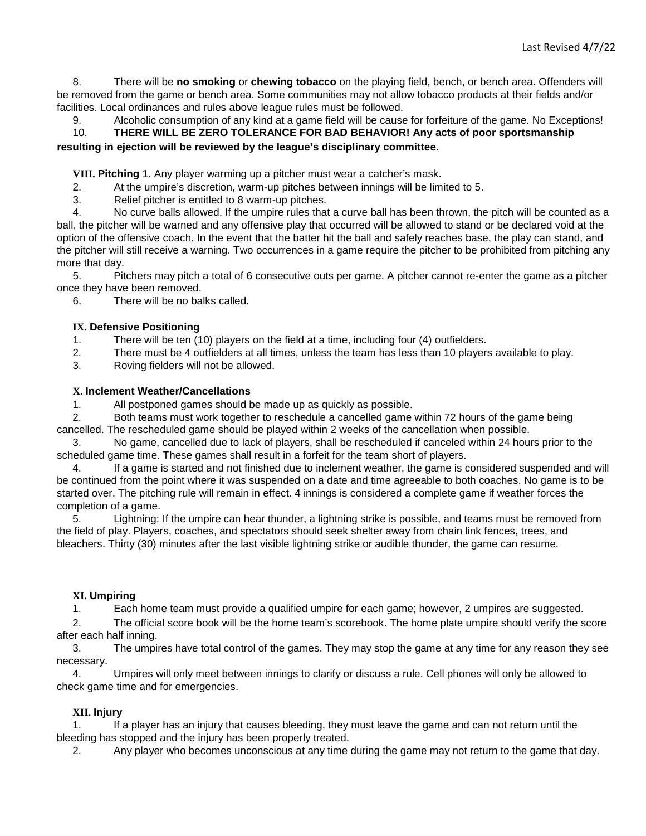8. There will be **no smoking** or **chewing tobacco** on the playing field, bench, or bench area. Offenders will be removed from the game or bench area. Some communities may not allow tobacco products at their fields and/or facilities. Local ordinances and rules above league rules must be followed.

9. Alcoholic consumption of any kind at a game field will be cause for forfeiture of the game. No Exceptions! 10. **THERE WILL BE ZERO TOLERANCE FOR BAD BEHAVIOR! Any acts of poor sportsmanship resulting in ejection will be reviewed by the league's disciplinary committee.** 

**VIII. Pitching** 1. Any player warming up a pitcher must wear a catcher's mask.

2. At the umpire's discretion, warm-up pitches between innings will be limited to 5.

3. Relief pitcher is entitled to 8 warm-up pitches.

4. No curve balls allowed. If the umpire rules that a curve ball has been thrown, the pitch will be counted as a ball, the pitcher will be warned and any offensive play that occurred will be allowed to stand or be declared void at the option of the offensive coach. In the event that the batter hit the ball and safely reaches base, the play can stand, and the pitcher will still receive a warning. Two occurrences in a game require the pitcher to be prohibited from pitching any more that day.

5. Pitchers may pitch a total of 6 consecutive outs per game. A pitcher cannot re-enter the game as a pitcher once they have been removed.

6. There will be no balks called.

#### **IX. Defensive Positioning**

1. There will be ten (10) players on the field at a time, including four (4) outfielders.

2. There must be 4 outfielders at all times, unless the team has less than 10 players available to play.

3. Roving fielders will not be allowed.

#### **X. Inclement Weather/Cancellations**

1. All postponed games should be made up as quickly as possible.

2. Both teams must work together to reschedule a cancelled game within 72 hours of the game being cancelled. The rescheduled game should be played within 2 weeks of the cancellation when possible.

3. No game, cancelled due to lack of players, shall be rescheduled if canceled within 24 hours prior to the scheduled game time. These games shall result in a forfeit for the team short of players.

4. If a game is started and not finished due to inclement weather, the game is considered suspended and will be continued from the point where it was suspended on a date and time agreeable to both coaches. No game is to be started over. The pitching rule will remain in effect. 4 innings is considered a complete game if weather forces the completion of a game.

5. Lightning: If the umpire can hear thunder, a lightning strike is possible, and teams must be removed from the field of play. Players, coaches, and spectators should seek shelter away from chain link fences, trees, and bleachers. Thirty (30) minutes after the last visible lightning strike or audible thunder, the game can resume.

#### **XI. Umpiring**

1. Each home team must provide a qualified umpire for each game; however, 2 umpires are suggested.

2. The official score book will be the home team's scorebook. The home plate umpire should verify the score after each half inning.

3. The umpires have total control of the games. They may stop the game at any time for any reason they see necessary.

4. Umpires will only meet between innings to clarify or discuss a rule. Cell phones will only be allowed to check game time and for emergencies.

#### **XII. Injury**

1. If a player has an injury that causes bleeding, they must leave the game and can not return until the bleeding has stopped and the injury has been properly treated.

2. Any player who becomes unconscious at any time during the game may not return to the game that day.